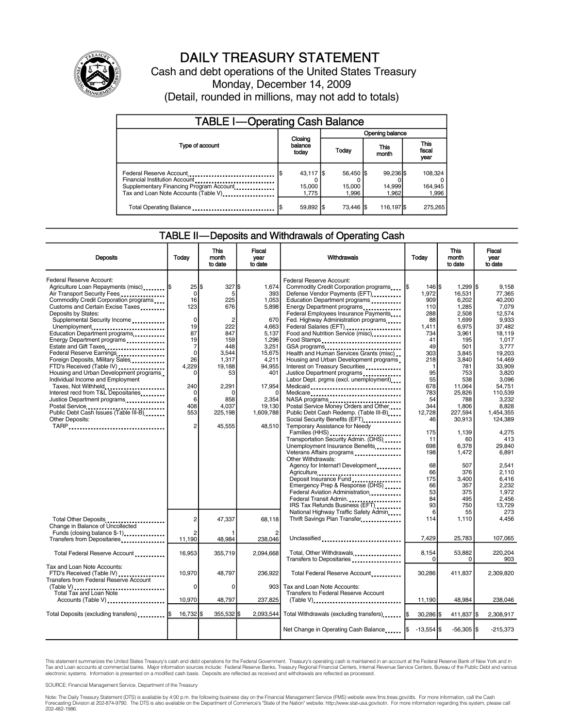

# DAILY TREASURY STATEMENT

Cash and debt operations of the United States Treasury Monday, December 14, 2009 (Detail, rounded in millions, may not add to totals)

| <b>TABLE I-Operating Cash Balance</b>                                                                                                       |                                |                              |                              |                               |  |  |  |
|---------------------------------------------------------------------------------------------------------------------------------------------|--------------------------------|------------------------------|------------------------------|-------------------------------|--|--|--|
|                                                                                                                                             |                                | Opening balance              |                              |                               |  |  |  |
| Type of account                                                                                                                             | Closing<br>balance<br>today    | Today                        | This<br>month                | <b>This</b><br>fiscal<br>year |  |  |  |
| Federal Reserve Account<br>Financial Institution Account<br>Supplementary Financing Program Account<br>Tax and Loan Note Accounts (Table V) | $43,117$ \$<br>15,000<br>1.775 | 56.450 \$<br>15,000<br>1.996 | 99.236 \$<br>14,999<br>1.962 | 108,324<br>164,945<br>1,996   |  |  |  |
| Total Operating Balance                                                                                                                     | 59,892 \$                      | 73.446 \\                    | 116,197 \$                   | 275.265                       |  |  |  |

### TABLE II—Deposits and Withdrawals of Operating Cash

| <b>Deposits</b>                                                                                                                                                                                                                                                                                                                                                                                                                                                                                                                                                                                                                                                                                           | Todav                                                                                                                                                              | <b>This</b><br>month<br>to date                                                                                                                           | <b>Fiscal</b><br>vear<br>to date                                                                                                                                         | Withdrawals                                                                                                                                                                                                                                                                                                                                                                                                                                                                                                                                                                                                                                                                                                                                                                                                                                                                                                                                                                                                                                                                                     | Today                                                                                                                                                                                                                                       | <b>This</b><br>month<br>to date                                                                                                                                                                                                                                              | <b>Fiscal</b><br>vear<br>to date                                                                                                                                                                                                                                                                              |
|-----------------------------------------------------------------------------------------------------------------------------------------------------------------------------------------------------------------------------------------------------------------------------------------------------------------------------------------------------------------------------------------------------------------------------------------------------------------------------------------------------------------------------------------------------------------------------------------------------------------------------------------------------------------------------------------------------------|--------------------------------------------------------------------------------------------------------------------------------------------------------------------|-----------------------------------------------------------------------------------------------------------------------------------------------------------|--------------------------------------------------------------------------------------------------------------------------------------------------------------------------|-------------------------------------------------------------------------------------------------------------------------------------------------------------------------------------------------------------------------------------------------------------------------------------------------------------------------------------------------------------------------------------------------------------------------------------------------------------------------------------------------------------------------------------------------------------------------------------------------------------------------------------------------------------------------------------------------------------------------------------------------------------------------------------------------------------------------------------------------------------------------------------------------------------------------------------------------------------------------------------------------------------------------------------------------------------------------------------------------|---------------------------------------------------------------------------------------------------------------------------------------------------------------------------------------------------------------------------------------------|------------------------------------------------------------------------------------------------------------------------------------------------------------------------------------------------------------------------------------------------------------------------------|---------------------------------------------------------------------------------------------------------------------------------------------------------------------------------------------------------------------------------------------------------------------------------------------------------------|
| Federal Reserve Account:<br>Agriculture Loan Repayments (misc) S<br>Air Transport Security Fees<br>Commodity Credit Corporation programs<br>Customs and Certain Excise Taxes<br>Deposits by States:<br>Supplemental Security Income<br>Unemployment<br>Education Department programs<br>Energy Department programs<br>Estate and Gift Taxes<br>Federal Reserve Earnings<br>Foreign Deposits, Military Sales<br>FTD's Received (Table IV)<br>Housing and Urban Development programs<br>Individual Income and Employment<br>Taxes, Not Withheld<br>Interest recd from T&L Depositaries<br>Justice Department programs<br>Postal Service<br>Public Debt Cash Issues (Table III-B)<br>Other Deposits:<br>TARP | 25 \$<br>$\mathbf 0$<br>16<br>123<br>$\mathbf 0$<br>19<br>87<br>19<br>7<br>$\mathbf 0$<br>26<br>4,229<br>$\Omega$<br>240<br>0<br>6<br>408<br>553<br>$\overline{2}$ | 327<br>5<br>225<br>676<br>$\overline{c}$<br>222<br>847<br>159<br>448<br>3,544<br>1,317<br>19.188<br>53<br>2,291<br>n<br>858<br>4,037<br>225,198<br>45.555 | l\$<br>1.674<br>393<br>1,053<br>5,898<br>670<br>4,663<br>5,137<br>1,296<br>3,251<br>15,675<br>4,211<br>94,955<br>401<br>17,954<br>2.354<br>19,130<br>1,609,788<br>48.510 | Federal Reserve Account:<br>Commodity Credit Corporation programs<br>Defense Vendor Payments (EFT)<br>Education Department programs<br>Energy Department programs<br>Federal Employees Insurance Payments<br>Fed. Highway Administration programs<br>Federal Salaries (EFT)<br>Food and Nutrition Service (misc)<br>Food Stamps<br>GSA programs<br>Health and Human Services Grants (misc)<br>Housing and Urban Development programs<br>Interest on Treasury Securities<br>Justice Department programs<br>Labor Dept. prgms (excl. unemployment)<br>Medicaid<br>Medicare<br>Postal Service Money Orders and Other<br>Public Debt Cash Redemp. (Table III-B)<br>Social Security Benefits (EFT)<br>Temporary Assistance for Needy<br>Families (HHS)<br>Transportation Security Admin. (DHS)<br>Unemployment Insurance Benefits<br>Veterans Affairs programs<br>Other Withdrawals:<br>Agency for Internat'l Development<br>Agriculture<br>Deposit Insurance Fund<br>Emergency Prep & Response (DHS)<br>Federal Aviation Administration<br>Federal Transit Admin.<br>IRS Tax Refunds Business (EFT) | 146 <sup>S</sup><br>1,972<br>909<br>110<br>288<br>88<br>1,411<br>734<br>41<br>49<br>303<br>218<br>$\mathbf{1}$<br>95<br>55<br>678<br>783<br>54<br>344<br>12.728<br>46<br>175<br>11<br>698<br>198<br>68<br>66<br>175<br>66<br>53<br>84<br>93 | 1,299   \$<br>16,531<br>6,202<br>1,285<br>2,508<br>1,699<br>6,975<br>3,961<br>195<br>501<br>3,845<br>3,840<br>781<br>753<br>538<br>11,064<br>25,826<br>788<br>1,806<br>227,594<br>30,913<br>1,139<br>60<br>6,378<br>1,472<br>507<br>376<br>3,400<br>357<br>375<br>495<br>750 | 9.158<br>77,365<br>40,200<br>7.079<br>12.574<br>9.933<br>37.482<br>18.119<br>1,017<br>3,777<br>19,203<br>14.469<br>33.909<br>3.820<br>3.096<br>54,751<br>110,539<br>3.232<br>8.828<br>1.454.355<br>124,389<br>4,275<br>413<br>29.840<br>6.891<br>2.541<br>2,110<br>6,416<br>2,232<br>1.972<br>2.456<br>13.729 |
| Total Other Deposits<br>Change in Balance of Uncollected<br>Funds (closing balance \$-1)                                                                                                                                                                                                                                                                                                                                                                                                                                                                                                                                                                                                                  | $\overline{2}$<br>2                                                                                                                                                | 47,337                                                                                                                                                    | 68.118                                                                                                                                                                   | National Highway Traffic Safety Admin<br>Thrift Savings Plan Transfer                                                                                                                                                                                                                                                                                                                                                                                                                                                                                                                                                                                                                                                                                                                                                                                                                                                                                                                                                                                                                           | 6<br>114                                                                                                                                                                                                                                    | 55<br>1,110                                                                                                                                                                                                                                                                  | 273<br>4,456                                                                                                                                                                                                                                                                                                  |
| Transfers from Depositaries                                                                                                                                                                                                                                                                                                                                                                                                                                                                                                                                                                                                                                                                               | 11,190                                                                                                                                                             | 48,984                                                                                                                                                    | 238,046                                                                                                                                                                  | Unclassified                                                                                                                                                                                                                                                                                                                                                                                                                                                                                                                                                                                                                                                                                                                                                                                                                                                                                                                                                                                                                                                                                    | 7,429                                                                                                                                                                                                                                       | 25,783                                                                                                                                                                                                                                                                       | 107,065                                                                                                                                                                                                                                                                                                       |
| Total Federal Reserve Account                                                                                                                                                                                                                                                                                                                                                                                                                                                                                                                                                                                                                                                                             | 16,953                                                                                                                                                             | 355,719                                                                                                                                                   | 2.094.668                                                                                                                                                                | Total, Other Withdrawals                                                                                                                                                                                                                                                                                                                                                                                                                                                                                                                                                                                                                                                                                                                                                                                                                                                                                                                                                                                                                                                                        | 8.154<br>$\Omega$                                                                                                                                                                                                                           | 53,882<br>0                                                                                                                                                                                                                                                                  | 220.204<br>903                                                                                                                                                                                                                                                                                                |
| Tax and Loan Note Accounts:<br>FTD's Received (Table IV)<br><b>Transfers from Federal Reserve Account</b><br>(Table V)                                                                                                                                                                                                                                                                                                                                                                                                                                                                                                                                                                                    | 10.970<br>0                                                                                                                                                        | 48.797<br>$\Omega$                                                                                                                                        | 236.922<br>903 <sub>l</sub>                                                                                                                                              | Total Federal Reserve Account<br>Tax and Loan Note Accounts:                                                                                                                                                                                                                                                                                                                                                                                                                                                                                                                                                                                                                                                                                                                                                                                                                                                                                                                                                                                                                                    | 30.286                                                                                                                                                                                                                                      | 411,837                                                                                                                                                                                                                                                                      | 2.309.820                                                                                                                                                                                                                                                                                                     |
| Total Tax and Loan Note<br>Accounts (Table V)                                                                                                                                                                                                                                                                                                                                                                                                                                                                                                                                                                                                                                                             | 10,970                                                                                                                                                             | 48,797                                                                                                                                                    | 237,825                                                                                                                                                                  | Transfers to Federal Reserve Account                                                                                                                                                                                                                                                                                                                                                                                                                                                                                                                                                                                                                                                                                                                                                                                                                                                                                                                                                                                                                                                            | 11,190                                                                                                                                                                                                                                      | 48,984                                                                                                                                                                                                                                                                       | 238,046                                                                                                                                                                                                                                                                                                       |
|                                                                                                                                                                                                                                                                                                                                                                                                                                                                                                                                                                                                                                                                                                           |                                                                                                                                                                    |                                                                                                                                                           |                                                                                                                                                                          |                                                                                                                                                                                                                                                                                                                                                                                                                                                                                                                                                                                                                                                                                                                                                                                                                                                                                                                                                                                                                                                                                                 |                                                                                                                                                                                                                                             |                                                                                                                                                                                                                                                                              |                                                                                                                                                                                                                                                                                                               |
| Total Deposits (excluding transfers) \$                                                                                                                                                                                                                                                                                                                                                                                                                                                                                                                                                                                                                                                                   | 16.732 S                                                                                                                                                           | 355.532 \$                                                                                                                                                | 2.093.544                                                                                                                                                                | Total Withdrawals (excluding transfers) [\$                                                                                                                                                                                                                                                                                                                                                                                                                                                                                                                                                                                                                                                                                                                                                                                                                                                                                                                                                                                                                                                     | $30,286$ \$                                                                                                                                                                                                                                 | 411,837 \$                                                                                                                                                                                                                                                                   | 2,308,917                                                                                                                                                                                                                                                                                                     |
|                                                                                                                                                                                                                                                                                                                                                                                                                                                                                                                                                                                                                                                                                                           |                                                                                                                                                                    |                                                                                                                                                           |                                                                                                                                                                          | Net Change in Operating Cash Balance                                                                                                                                                                                                                                                                                                                                                                                                                                                                                                                                                                                                                                                                                                                                                                                                                                                                                                                                                                                                                                                            | $-13.554$ S                                                                                                                                                                                                                                 | $-56.305$ S                                                                                                                                                                                                                                                                  | $-215.373$                                                                                                                                                                                                                                                                                                    |

This statement summarizes the United States Treasury's cash and debt operations for the Federal Government. Treasury's operating cash is maintained in an account at the Federal Reserve Bank of New York and in<br>Tax and Loan

SOURCE: Financial Management Service, Department of the Treasury

Note: The Daily Treasury Statement (DTS) is available by 4:00 p.m. the following business day on the Financial Management Service (FMS) website www.fms.treas.gov/dts. For more information, call the Cash Forecasting Division at 202-874-9790. The DTS is also available on the Department of Commerce's "State of the Nation" website: http://www.stat-usa.gov/sotn. For more information regarding this system, please call<br>202-482-1